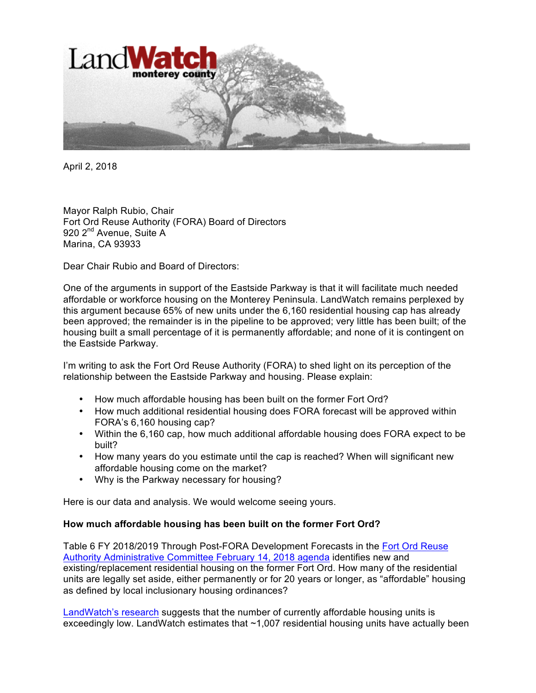

April 2, 2018

Mayor Ralph Rubio, Chair Fort Ord Reuse Authority (FORA) Board of Directors 920 2<sup>nd</sup> Avenue, Suite A Marina, CA 93933

Dear Chair Rubio and Board of Directors:

One of the arguments in support of the Eastside Parkway is that it will facilitate much needed affordable or workforce housing on the Monterey Peninsula. LandWatch remains perplexed by this argument because 65% of new units under the 6,160 residential housing cap has already been approved; the remainder is in the pipeline to be approved; very little has been built; of the housing built a small percentage of it is permanently affordable; and none of it is contingent on the Eastside Parkway.

I'm writing to ask the Fort Ord Reuse Authority (FORA) to shed light on its perception of the relationship between the Eastside Parkway and housing. Please explain:

- How much affordable housing has been built on the former Fort Ord?
- How much additional residential housing does FORA forecast will be approved within FORA's 6,160 housing cap?
- Within the 6,160 cap, how much additional affordable housing does FORA expect to be built?
- How many years do you estimate until the cap is reached? When will significant new affordable housing come on the market?
- Why is the Parkway necessary for housing?

Here is our data and analysis. We would welcome seeing yours.

#### **How much affordable housing has been built on the former Fort Ord?**

Table 6 FY 2018/2019 Through Post-FORA Development Forecasts in the Fort Ord Reuse Authority Administrative Committee February 14, 2018 agenda identifies new and existing/replacement residential housing on the former Fort Ord. How many of the residential units are legally set aside, either permanently or for 20 years or longer, as "affordable" housing as defined by local inclusionary housing ordinances?

LandWatch's research suggests that the number of currently affordable housing units is exceedingly low. LandWatch estimates that ~1,007 residential housing units have actually been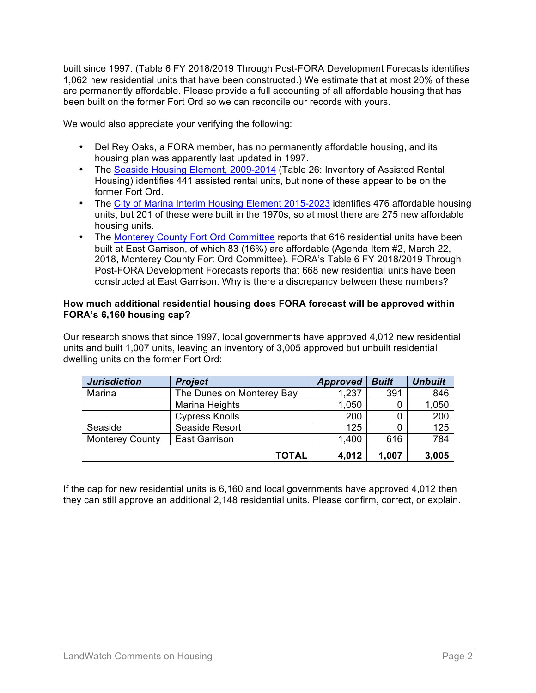built since 1997. (Table 6 FY 2018/2019 Through Post-FORA Development Forecasts identifies 1,062 new residential units that have been constructed.) We estimate that at most 20% of these are permanently affordable. Please provide a full accounting of all affordable housing that has been built on the former Fort Ord so we can reconcile our records with yours.

We would also appreciate your verifying the following:

- Del Rey Oaks, a FORA member, has no permanently affordable housing, and its housing plan was apparently last updated in 1997.
- The Seaside Housing Element, 2009-2014 (Table 26: Inventory of Assisted Rental Housing) identifies 441 assisted rental units, but none of these appear to be on the former Fort Ord.
- The City of Marina Interim Housing Element 2015-2023 identifies 476 affordable housing units, but 201 of these were built in the 1970s, so at most there are 275 new affordable housing units.
- The Monterey County Fort Ord Committee reports that 616 residential units have been built at East Garrison, of which 83 (16%) are affordable (Agenda Item #2, March 22, 2018, Monterey County Fort Ord Committee). FORA's Table 6 FY 2018/2019 Through Post-FORA Development Forecasts reports that 668 new residential units have been constructed at East Garrison. Why is there a discrepancy between these numbers?

#### **How much additional residential housing does FORA forecast will be approved within FORA's 6,160 housing cap?**

Our research shows that since 1997, local governments have approved 4,012 new residential units and built 1,007 units, leaving an inventory of 3,005 approved but unbuilt residential dwelling units on the former Fort Ord:

| <b>Jurisdiction</b>    | <b>Project</b>            | <b>Approved</b> | <b>Built</b> | <b>Unbuilt</b> |
|------------------------|---------------------------|-----------------|--------------|----------------|
| Marina                 | The Dunes on Monterey Bay | 1,237           | 391          | 846            |
|                        | Marina Heights            | 1,050           | 0            | 1,050          |
|                        | <b>Cypress Knolls</b>     | 200             | 0            | 200            |
| Seaside                | Seaside Resort            | 125             | 0            | 125            |
| <b>Monterey County</b> | <b>East Garrison</b>      | 1,400           | 616          | 784            |
|                        | <b>TOTAL</b>              | 4,012           | 1,007        | 3,005          |

If the cap for new residential units is 6,160 and local governments have approved 4,012 then they can still approve an additional 2,148 residential units. Please confirm, correct, or explain.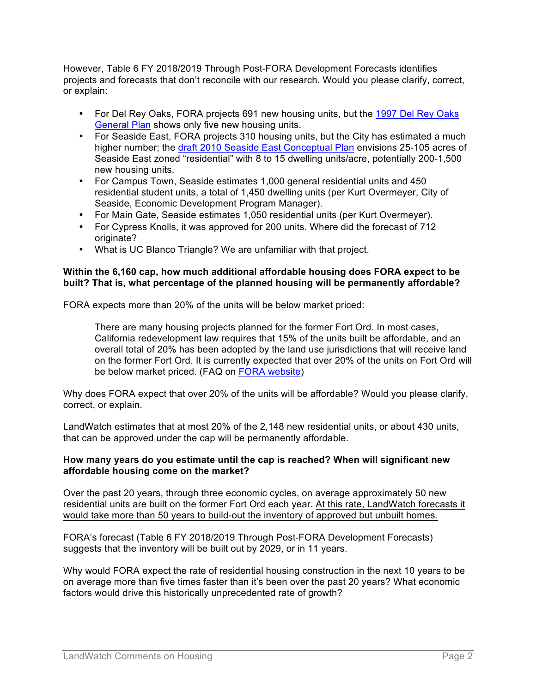However, Table 6 FY 2018/2019 Through Post-FORA Development Forecasts identifies projects and forecasts that don't reconcile with our research. Would you please clarify, correct, or explain:

- For Del Rey Oaks, FORA projects 691 new housing units, but the 1997 Del Rey Oaks General Plan shows only five new housing units.
- For Seaside East, FORA projects 310 housing units, but the City has estimated a much higher number; the draft 2010 Seaside East Conceptual Plan envisions 25-105 acres of Seaside East zoned "residential" with 8 to 15 dwelling units/acre, potentially 200-1,500 new housing units.
- For Campus Town, Seaside estimates 1,000 general residential units and 450 residential student units, a total of 1,450 dwelling units (per Kurt Overmeyer, City of Seaside, Economic Development Program Manager).
- For Main Gate, Seaside estimates 1,050 residential units (per Kurt Overmeyer).
- For Cypress Knolls, it was approved for 200 units. Where did the forecast of 712 originate?
- What is UC Blanco Triangle? We are unfamiliar with that project.

## **Within the 6,160 cap, how much additional affordable housing does FORA expect to be built? That is, what percentage of the planned housing will be permanently affordable?**

FORA expects more than 20% of the units will be below market priced:

There are many housing projects planned for the former Fort Ord. In most cases, California redevelopment law requires that 15% of the units built be affordable, and an overall total of 20% has been adopted by the land use jurisdictions that will receive land on the former Fort Ord. It is currently expected that over 20% of the units on Fort Ord will be below market priced. (FAQ on FORA website)

Why does FORA expect that over 20% of the units will be affordable? Would you please clarify, correct, or explain.

LandWatch estimates that at most 20% of the 2,148 new residential units, or about 430 units, that can be approved under the cap will be permanently affordable.

## **How many years do you estimate until the cap is reached? When will significant new affordable housing come on the market?**

Over the past 20 years, through three economic cycles, on average approximately 50 new residential units are built on the former Fort Ord each year. At this rate, LandWatch forecasts it would take more than 50 years to build-out the inventory of approved but unbuilt homes.

FORA's forecast (Table 6 FY 2018/2019 Through Post-FORA Development Forecasts) suggests that the inventory will be built out by 2029, or in 11 years.

Why would FORA expect the rate of residential housing construction in the next 10 years to be on average more than five times faster than it's been over the past 20 years? What economic factors would drive this historically unprecedented rate of growth?